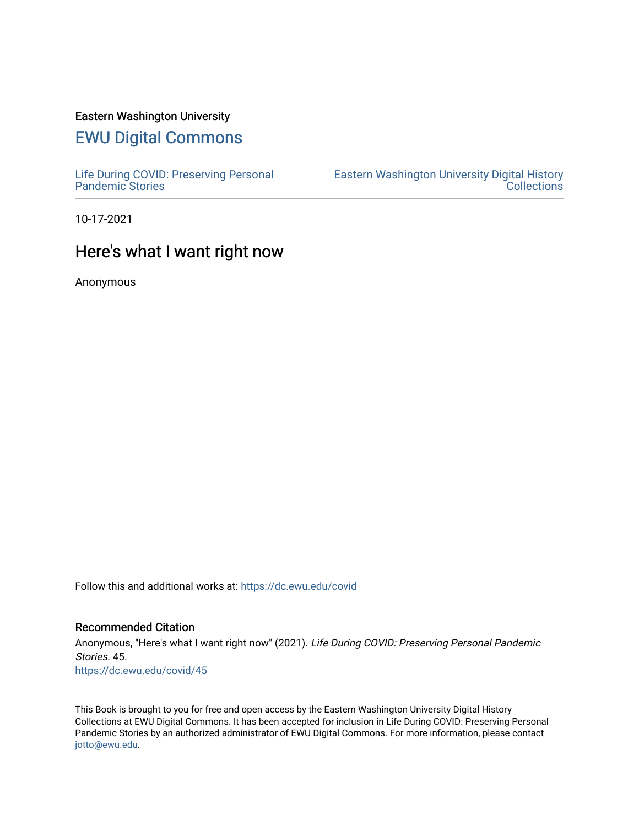### Eastern Washington University

# [EWU Digital Commons](https://dc.ewu.edu/)

[Life During COVID: Preserving Personal](https://dc.ewu.edu/covid) [Pandemic Stories](https://dc.ewu.edu/covid) 

[Eastern Washington University Digital History](https://dc.ewu.edu/ewu_history)  **Collections** 

10-17-2021

## Here's what I want right now

Anonymous

Follow this and additional works at: [https://dc.ewu.edu/covid](https://dc.ewu.edu/covid?utm_source=dc.ewu.edu%2Fcovid%2F45&utm_medium=PDF&utm_campaign=PDFCoverPages)

### Recommended Citation

Anonymous, "Here's what I want right now" (2021). Life During COVID: Preserving Personal Pandemic Stories. 45. [https://dc.ewu.edu/covid/45](https://dc.ewu.edu/covid/45?utm_source=dc.ewu.edu%2Fcovid%2F45&utm_medium=PDF&utm_campaign=PDFCoverPages) 

This Book is brought to you for free and open access by the Eastern Washington University Digital History Collections at EWU Digital Commons. It has been accepted for inclusion in Life During COVID: Preserving Personal Pandemic Stories by an authorized administrator of EWU Digital Commons. For more information, please contact [jotto@ewu.edu.](mailto:jotto@ewu.edu)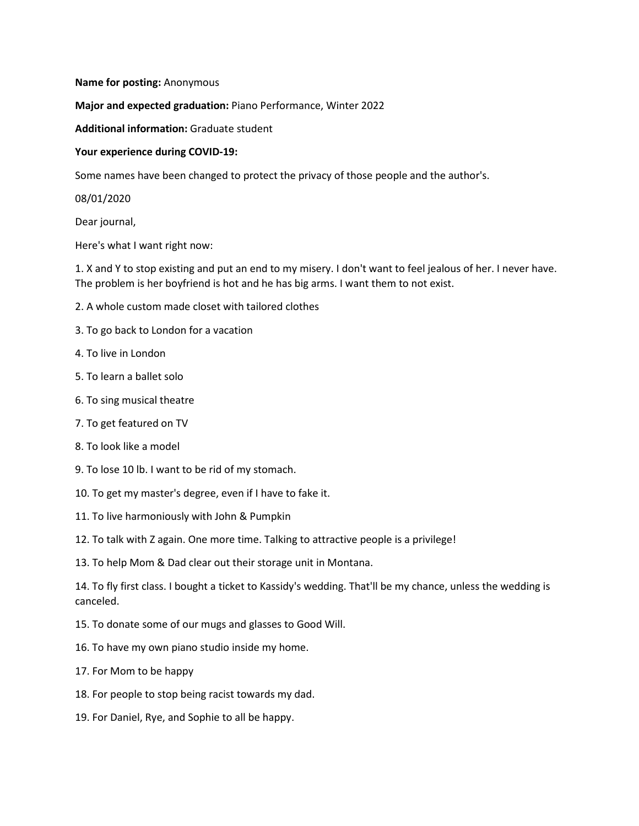#### **Name for posting:** Anonymous

**Major and expected graduation:** Piano Performance, Winter 2022

**Additional information:** Graduate student

#### **Your experience during COVID-19:**

Some names have been changed to protect the privacy of those people and the author's.

08/01/2020

Dear journal,

Here's what I want right now:

1. X and Y to stop existing and put an end to my misery. I don't want to feel jealous of her. I never have. The problem is her boyfriend is hot and he has big arms. I want them to not exist.

- 2. A whole custom made closet with tailored clothes
- 3. To go back to London for a vacation
- 4. To live in London
- 5. To learn a ballet solo
- 6. To sing musical theatre
- 7. To get featured on TV
- 8. To look like a model
- 9. To lose 10 lb. I want to be rid of my stomach.
- 10. To get my master's degree, even if I have to fake it.
- 11. To live harmoniously with John & Pumpkin
- 12. To talk with Z again. One more time. Talking to attractive people is a privilege!
- 13. To help Mom & Dad clear out their storage unit in Montana.

14. To fly first class. I bought a ticket to Kassidy's wedding. That'll be my chance, unless the wedding is canceled.

- 15. To donate some of our mugs and glasses to Good Will.
- 16. To have my own piano studio inside my home.
- 17. For Mom to be happy
- 18. For people to stop being racist towards my dad.
- 19. For Daniel, Rye, and Sophie to all be happy.